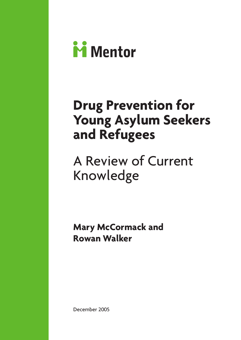

# **Drug Prevention for Young Asylum Seekers and Refugees**

# A Review of Current Knowledge

**Mary McCormack and Rowan Walker**

December 2005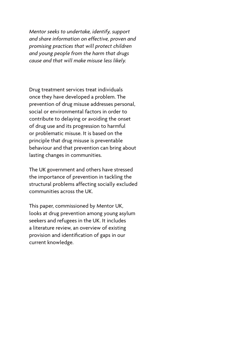*Mentor seeks to undertake, identify, support and share information on effective, proven and promising practices that will protect children and young people from the harm that drugs cause and that will make misuse less likely.*

Drug treatment services treat individuals once they have developed a problem. The prevention of drug misuse addresses personal, social or environmental factors in order to contribute to delaying or avoiding the onset of drug use and its progression to harmful or problematic misuse. It is based on the principle that drug misuse is preventable behaviour and that prevention can bring about lasting changes in communities.

The UK government and others have stressed the importance of prevention in tackling the structural problems affecting socially excluded communities across the UK.

This paper, commissioned by Mentor UK, looks at drug prevention among young asylum seekers and refugees in the UK. It includes a literature review, an overview of existing provision and identification of gaps in our current knowledge.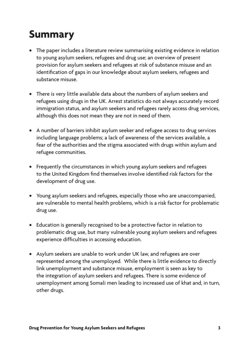### **Summary**

- The paper includes a literature review summarising existing evidence in relation to young asylum seekers, refugees and drug use; an overview of present provision for asylum seekers and refugees at risk of substance misuse and an identification of gaps in our knowledge about asylum seekers, refugees and substance misuse.
- There is very little available data about the numbers of asylum seekers and refugees using drugs in the UK. Arrest statistics do not always accurately record immigration status, and asylum seekers and refugees rarely access drug services, although this does not mean they are not in need of them.
- A number of barriers inhibit asylum seeker and refugee access to drug services including language problems; a lack of awareness of the services available, a fear of the authorities and the stigma associated with drugs within asylum and refugee communities.
- Frequently the circumstances in which young asylum seekers and refugees to the United Kingdom find themselves involve identified risk factors for the development of drug use.
- Young asylum seekers and refugees, especially those who are unaccompanied, are vulnerable to mental health problems, which is a risk factor for problematic drug use.
- Education is generally recognised to be a protective factor in relation to problematic drug use, but many vulnerable young asylum seekers and refugees experience difficulties in accessing education.
- Asylum seekers are unable to work under UK law, and refugees are over represented among the unemployed. While there is little evidence to directly link unemployment and substance misuse, employment is seen as key to the integration of asylum seekers and refugees. There is some evidence of unemployment among Somali men leading to increased use of khat and, in turn, other drugs.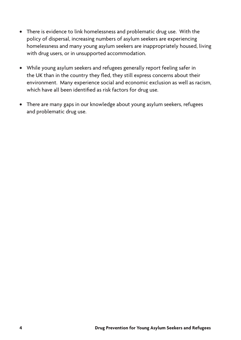- There is evidence to link homelessness and problematic drug use. With the policy of dispersal, increasing numbers of asylum seekers are experiencing homelessness and many young asylum seekers are inappropriately housed, living with drug users, or in unsupported accommodation.
- While young asylum seekers and refugees generally report feeling safer in the UK than in the country they fled, they still express concerns about their environment. Many experience social and economic exclusion as well as racism, which have all been identified as risk factors for drug use.
- There are many gaps in our knowledge about young asylum seekers, refugees and problematic drug use.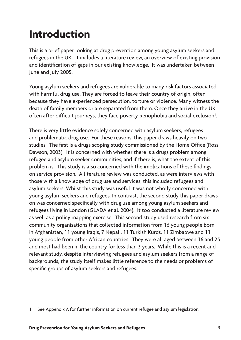## **Introduction**

This is a brief paper looking at drug prevention among young asylum seekers and refugees in the UK. It includes a literature review, an overview of existing provision and identification of gaps in our existing knowledge. It was undertaken between June and July 2005.

Young asylum seekers and refugees are vulnerable to many risk factors associated with harmful drug use. They are forced to leave their country of origin, often because they have experienced persecution, torture or violence. Many witness the death of family members or are separated from them. Once they arrive in the UK, often after difficult journeys, they face poverty, xenophobia and social exclusion .

There is very little evidence solely concerned with asylum seekers, refugees and problematic drug use. For these reasons, this paper draws heavily on two studies. The first is a drugs scoping study commissioned by the Home Office (Ross Dawson, 2003). It is concerned with whether there is a drugs problem among refugee and asylum seeker communities, and if there is, what the extent of this problem is. This study is also concerned with the implications of these findings on service provision. A literature review was conducted, as were interviews with those with a knowledge of drug use and services; this included refugees and asylum seekers. Whilst this study was useful it was not wholly concerned with young asylum seekers and refugees. In contrast, the second study this paper draws on was concerned specifically with drug use among young asylum seekers and refugees living in London (GLADA et al. 2004). It too conducted a literature review as well as a policy mapping exercise. This second study used research from six community organisations that collected information from 16 young people born in Afghanistan, 11 young Iraqis, 7 Nepali, 11 Turkish Kurds, 11 Zimbabwe and 11 young people from other African countries. They were all aged between 16 and 25 and most had been in the country for less than 3 years. While this is a recent and relevant study, despite interviewing refugees and asylum seekers from a range of backgrounds, the study itself makes little reference to the needs or problems of specific groups of asylum seekers and refugees.

<sup>1</sup> See Appendix A for further information on current refugee and asylum legislation.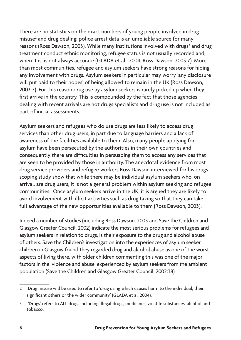There are no statistics on the exact numbers of young people involved in drug misuse<sup>2</sup> and drug dealing; police arrest data is an unreliable source for many reasons (Ross Dawson, 2003). While many institutions involved with drugs<sup>3</sup> and drug treatment conduct ethnic monitoring, refugee status is not usually recorded and, when it is, is not always accurate (GLADA et al., 2004; Ross Dawson, 2003:7). More than most communities, refugee and asylum seekers have strong reasons for hiding any involvement with drugs. Asylum seekers in particular may worry 'any disclosure will put paid to their hopes' of being allowed to remain in the UK (Ross Dawson, 2003:7). For this reason drug use by asylum seekers is rarely picked up when they first arrive in the country. This is compounded by the fact that those agencies dealing with recent arrivals are not drugs specialists and drug use is not included as part of initial assessments.

Asylum seekers and refugees who do use drugs are less likely to access drug services than other drug users, in part due to language barriers and a lack of awareness of the facilities available to them. Also, many people applying for asylum have been persecuted by the authorities in their own countries and consequently there are difficulties in persuading them to access any services that are seen to be provided by those in authority. The anecdotal evidence from most drug service providers and refugee workers Ross Dawson interviewed for his drugs scoping study show that while there may be individual asylum seekers who, on arrival, are drug users, it is not a general problem within asylum seeking and refugee communities. Once asylum seekers arrive in the UK, it is argued they are likely to avoid involvement with illicit activities such as drug taking so that they can take full advantage of the new opportunities available to them (Ross Dawson, 2003).

Indeed a number of studies (including Ross Dawson, 2003 and Save the Children and Glasgow Greater Council, 2002) indicate the most serious problems for refugees and asylum seekers in relation to drugs, is their exposure to the drug and alcohol abuse of others. Save the Children's investigation into the experiences of asylum seeker children in Glasgow found they regarded drug and alcohol abuse as one of the worst aspects of living there, with older children commenting this was one of the major factors in the 'violence and abuse' experienced by asylum seekers from the ambient population (Save the Children and Glasgow Greater Council, 2002:18)

Drug misuse will be used to refer to 'drug using which causes harm to the individual, their  $2^{\circ}$ significant others or the wider community' (GLADA et al. 2004).

 <sup>&#</sup>x27;Drugs' refers to ALL drugs including illegal drugs, medicines, volatile substances, alcohol and  $\overline{3}$ tobacco.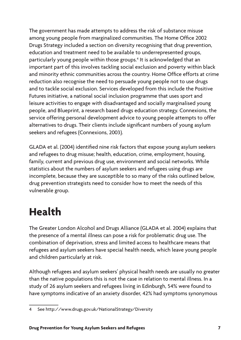The government has made attempts to address the risk of substance misuse among young people from marginalized communities. The Home Office 2002 Drugs Strategy included a section on diversity recognising that drug prevention, education and treatment need to be available to underrepresented groups, particularly young people within those groups.<sup>4</sup> It is acknowledged that an important part of this involves tackling social exclusion and poverty within black and minority ethnic communities across the country. Home Office efforts at crime reduction also recognise the need to persuade young people not to use drugs and to tackle social exclusion. Services developed from this include the Positive Futures initiative, a national social inclusion programme that uses sport and leisure activities to engage with disadvantaged and socially marginalised young people, and Blueprint, a research based drugs education strategy. Connexions, the service offering personal development advice to young people attempts to offer alternatives to drugs. Their clients include significant numbers of young asylum seekers and refugees (Connexions, 2003).

GLADA et al. (2004) identified nine risk factors that expose young asylum seekers and refugees to drug misuse; health, education, crime, employment, housing, family, current and previous drug use, environment and social networks. While statistics about the numbers of asylum seekers and refugees using drugs are incomplete, because they are susceptible to so many of the risks outlined below, drug prevention strategists need to consider how to meet the needs of this vulnerable group.

### **Health**

The Greater London Alcohol and Drugs Alliance (GLADA et al. 2004) explains that the presence of a mental illness can pose a risk for problematic drug use. The combination of deprivation, stress and limited access to healthcare means that refugees and asylum seekers have special health needs, which leave young people and children particularly at risk.

Although refugees and asylum seekers' physical health needs are usually no greater than the native populations this is not the case in relation to mental illness. In a study of 26 asylum seekers and refugees living in Edinburgh, 54% were found to have symptoms indicative of an anxiety disorder, 42% had symptoms synonymous

See http://www.drugs.gov.uk/NationalStrategy/Diversity $\overline{4}$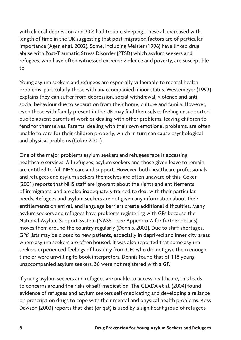with clinical depression and 33% had trouble sleeping. These all increased with length of time in the UK suggesting that post-migration factors are of particular importance (Ager, et al. 2002). Some, including Meisler (1996) have linked drug abuse with Post-Traumatic Stress Disorder (PTSD) which asylum seekers and refugees, who have often witnessed extreme violence and poverty, are susceptible to.

Young asylum seekers and refugees are especially vulnerable to mental health problems, particularly those with unaccompanied minor status. Westemeyer (1993) explains they can suffer from depression, social withdrawal, violence and antisocial behaviour due to separation from their home, culture and family. However, even those with family present in the UK may find themselves feeling unsupported due to absent parents at work or dealing with other problems, leaving children to fend for themselves. Parents, dealing with their own emotional problems, are often unable to care for their children properly, which in turn can cause psychological and physical problems (Coker 2001).

One of the major problems asylum seekers and refugees face is accessing healthcare services. All refugees, asylum seekers and those given leave to remain are entitled to full NHS care and support. However, both healthcare professionals and refugees and asylum seekers themselves are often unaware of this. Coker (2001) reports that NHS staff are ignorant about the rights and entitlements of immigrants, and are also inadequately trained to deal with their particular needs. Refugees and asylum seekers are not given any information about their entitlements on arrival, and language barriers create additional difficulties. Many asylum seekers and refugees have problems registering with GPs because the National Asylum Support System (NASS – see Appendix A for further details) moves them around the country regularly (Dennis, 2002). Due to staff shortages, GPs' lists may be closed to new patients, especially in deprived and inner city areas where asylum seekers are often housed. It was also reported that some asylum seekers experienced feelings of hostility from GPs who did not give them enough time or were unwilling to book interpreters. Dennis found that of 118 young unaccompanied asylum seekers, 36 were not registered with a GP.

If young asylum seekers and refugees are unable to access healthcare, this leads to concerns around the risks of self-medication. The GLADA et al. (2004) found evidence of refugees and asylum seekers self-medicating and developing a reliance on prescription drugs to cope with their mental and physical health problems. Ross Dawson (2003) reports that khat (or qat) is used by a significant group of refugees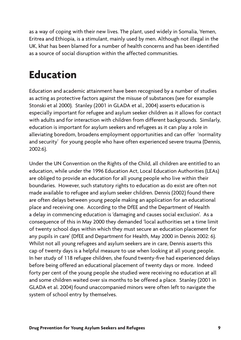as a way of coping with their new lives. The plant, used widely in Somalia, Yemen, Eritrea and Ethiopia, is a stimulant, mainly used by men. Although not illegal in the UK, khat has been blamed for a number of health concerns and has been identified as a source of social disruption within the affected communities.

#### **Education**

Education and academic attainment have been recognised by a number of studies as acting as protective factors against the misuse of substances (see for example Stonski et al 2000). Stanley (2001 in GLADA et al., 2004) asserts education is especially important for refugee and asylum seeker children as it allows for contact with adults and for interaction with children from different backgrounds. Similarly, education is important for asylum seekers and refugees as it can play a role in alleviating boredom, broadens employment opportunities and can offer 'normality and security' for young people who have often experienced severe trauma (Dennis, 2002:6).

Under the UN Convention on the Rights of the Child, all children are entitled to an education, while under the 1996 Education Act, Local Education Authorities (LEAs) are obliged to provide an education for all young people who live within their boundaries. However, such statutory rights to education as do exist are often not made available to refugee and asylum seeker children. Dennis (2002) found there are often delays between young people making an application for an educational place and receiving one. According to the DfEE and the Department of Health a delay in commencing education is 'damaging and causes social exclusion'. As a consequence of this in May 2000 they demanded 'local authorities set a time limit of twenty school days within which they must secure an education placement for any pupils in care' (DfEE and Department for Health, May 2000 in Dennis 2002: 6). Whilst not all young refugees and asylum seekers are in care, Dennis asserts this cap of twenty days is a helpful measure to use when looking at all young people. In her study of 118 refugee children, she found twenty-five had experienced delays before being offered an educational placement of twenty days or more. Indeed forty per cent of the young people she studied were receiving no education at all and some children waited over six months to be offered a place. Stanley (2001 in GLADA et al. 2004) found unaccompanied minors were often left to navigate the system of school entry by themselves.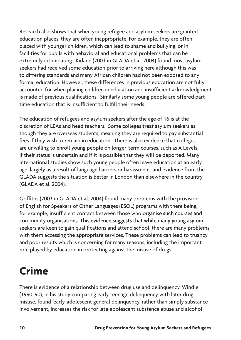Research also shows that when young refugee and asylum seekers are granted education places, they are often inappropriate. For example, they are often placed with younger children, which can lead to shame and bullying, or in facilities for pupils with behavioral and educational problems that can be extremely intimidating. Kidane (2001 in GLADA et al. 2004) found most asylum seekers had received some education prior to arriving here although this was to differing standards and many African children had not been exposed to any formal education. However, these differences in previous education are not fully accounted for when placing children in education and insufficient acknowledgment is made of previous qualifications. Similarly some young people are offered parttime education that is insufficient to fulfill their needs.

The education of refugees and asylum seekers after the age of 16 is at the discretion of LEAs and head teachers. Some colleges treat asylum seekers as though they are overseas students, meaning they are required to pay substantial fees if they wish to remain in education. There is also evidence that colleges are unwilling to enroll young people on longer-term courses, such as A Levels, if their status is uncertain and if it is possible that they will be deported. Many international studies show such young people often leave education at an early age, largely as a result of language barriers or harassment, and evidence from the GLADA suggests the situation is better in London than elsewhere in the country (GLADA et al. 2004).

Griffiths (2003 in GLADA et al. 2004) found many problems with the provision of English for Speakers of Other Languages (ESOL) programs with there being, for example, insufficient contact between those who organise such courses and community organisations. This evidence suggests that while many young asylum seekers are keen to gain qualifications and attend school, there are many problems with them accessing the appropriate services. These problems can lead to truancy and poor results which is concerning for many reasons, including the important role played by education in protecting against the misuse of drugs.

## **Crime**

There is evidence of a relationship between drug use and delinquency. Windle (1990: 90), in his study comparing early teenage delinquency with later drug misuse, found 'early-adolescent general delinquency, rather than simply substance involvement, increases the risk for late-adolescent substance abuse and alcohol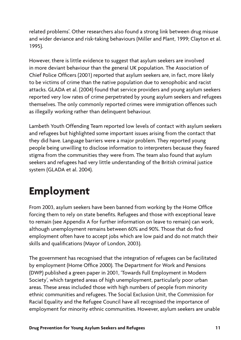related problems'. Other researchers also found a strong link between drug misuse and wider deviance and risk-taking behaviours (Miller and Plant, 1999; Clayton et al. 1995).

However, there is little evidence to suggest that asylum seekers are involved in more deviant behaviour than the general UK population. The Association of Chief Police Officers (2001) reported that asylum seekers are, in fact, more likely to be victims of crime than the native population due to xenophobic and racist attacks. GLADA et al. (2004) found that service providers and young asylum seekers reported very low rates of crime perpetrated by young asylum seekers and refugees themselves. The only commonly reported crimes were immigration offences such as illegally working rather than delinquent behaviour.

Lambeth Youth Offending Team reported low levels of contact with asylum seekers and refugees but highlighted some important issues arising from the contact that they did have. Language barriers were a major problem. They reported young people being unwilling to disclose information to interpreters because they feared stigma from the communities they were from. The team also found that asylum seekers and refugees had very little understanding of the British criminal justice system (GLADA et al. 2004).

## **Employment**

From 2003, asylum seekers have been banned from working by the Home Office forcing them to rely on state benefits. Refugees and those with exceptional leave to remain (see Appendix A for further information on leave to remain) can work, although unemployment remains between 60% and 90%. Those that do find employment often have to accept jobs which are low paid and do not match their skills and qualifications (Mayor of London, 2003).

The government has recognised that the integration of refugees can be facilitated by employment (Home Office 2000). The Department for Work and Pensions (DWP) published a green paper in 2001, 'Towards Full Employment in Modern Society', which targeted areas of high unemployment, particularly poor urban areas. These areas included those with high numbers of people from minority ethnic communities and refugees. The Social Exclusion Unit, the Commission for Racial Equality and the Refugee Council have all recognised the importance of employment for minority ethnic communities. However, asylum seekers are unable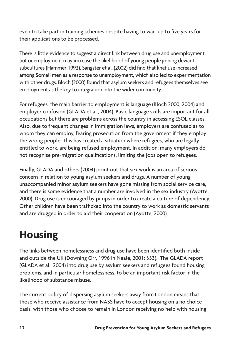even to take part in training schemes despite having to wait up to five years for their applications to be processed.

There is little evidence to suggest a direct link between drug use and unemployment, but unemployment may increase the likelihood of young people joining deviant subcultures (Hammer 1992). Sangster et al. (2002) did find that khat use increased among Somali men as a response to unemployment, which also led to experimentation with other drugs. Bloch (2000) found that asylum seekers and refugees themselves see employment as the key to integration into the wider community.

For refugees, the main barrier to employment is language (Bloch 2000, 2004) and employer confusion (GLADA et al., 2004). Basic language skills are important for all occupations but there are problems across the country in accessing ESOL classes. Also, due to frequent changes in immigration laws, employers are confused as to whom they can employ, fearing prosecution from the government if they employ the wrong people. This has created a situation where refugees, who are legally entitled to work, are being refused employment. In addition, many employers do not recognise pre-migration qualifications, limiting the jobs open to refugees.

Finally, GLADA and others (2004) point out that sex work is an area of serious concern in relation to young asylum seekers and drugs. A number of young unaccompanied minor asylum seekers have gone missing from social service care, and there is some evidence that a number are involved in the sex industry (Ayotte, 2000). Drug use is encouraged by pimps in order to create a culture of dependency. Other children have been trafficked into the country to work as domestic servants and are drugged in order to aid their cooperation (Ayotte, 2000).

## **Housing**

The links between homelessness and drug use have been identified both inside and outside the UK (Downing Orr, 1996 in Neale, 2001: 353). The GLADA report (GLADA et al., 2004) into drug use by asylum seekers and refugees found housing problems, and in particular homelessness, to be an important risk factor in the likelihood of substance misuse.

The current policy of dispersing asylum seekers away from London means that those who receive assistance from NASS have to accept housing on a no choice basis, with those who choose to remain in London receiving no help with housing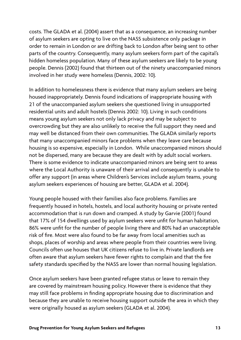costs. The GLADA et al. (2004) assert that as a consequence, an increasing number of asylum seekers are opting to live on the NASS subsistence only package in order to remain in London or are drifting back to London after being sent to other parts of the country. Consequently, many asylum seekers form part of the capital's hidden homeless population. Many of these asylum seekers are likely to be young people. Dennis (2002) found that thirteen out of the ninety unaccompanied minors involved in her study were homeless (Dennis, 2002: 10).

In addition to homelessness there is evidence that many asylum seekers are being housed inappropriately. Dennis found indications of inappropriate housing with 21 of the unaccompanied asylum seekers she questioned living in unsupported residential units and adult hostels (Dennis 2002: 10). Living in such conditions means young asylum seekers not only lack privacy and may be subject to overcrowding but they are also unlikely to receive the full support they need and may well be distanced from their own communities. The GLADA similarly reports that many unaccompanied minors face problems when they leave care because housing is so expensive, especially in London. While unaccompanied minors should not be dispersed, many are because they are dealt with by adult social workers. There is some evidence to indicate unaccompanied minors are being sent to areas where the Local Authority is unaware of their arrival and consequently is unable to offer any support (in areas where Children's Services include asylum teams, young asylum seekers experiences of housing are better, GLADA et al. 2004).

Young people housed with their families also face problems. Families are frequently housed in hotels, hostels, and local authority housing or private rented accommodation that is run down and cramped. A study by Garvie (2001) found that 17% of 154 dwellings used by asylum seekers were unfit for human habitation, 86% were unfit for the number of people living there and 80% had an unacceptable risk of fire. Most were also found to be far away from local amenities such as shops, places of worship and areas where people from their countries were living. Councils often use houses that UK citizens refuse to live in. Private landlords are often aware that asylum seekers have fewer rights to complain and that the fire safety standards specified by the NASS are lower than normal housing legislation.

Once asylum seekers have been granted refugee status or leave to remain they are covered by mainstream housing policy. However there is evidence that they may still face problems in finding appropriate housing due to discrimination and because they are unable to receive housing support outside the area in which they were originally housed as asylum seekers (GLADA et al. 2004).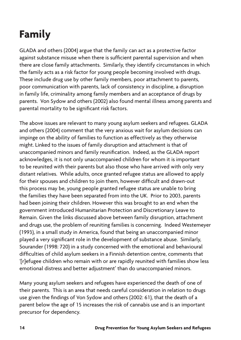## **Family**

GLADA and others (2004) argue that the family can act as a protective factor against substance misuse when there is sufficient parental supervision and when there are close family attachments. Similarly, they identify circumstances in which the family acts as a risk factor for young people becoming involved with drugs. These include drug use by other family members, poor attachment to parents, poor communication with parents, lack of consistency in discipline, a disruption in family life, criminality among family members and an acceptance of drugs by parents. Von Sydow and others (2002) also found mental illness among parents and parental mortality to be significant risk factors.

The above issues are relevant to many young asylum seekers and refugees. GLADA and others (2004) comment that the very anxious wait for asylum decisions can impinge on the ability of families to function as effectively as they otherwise might. Linked to the issues of family disruption and attachment is that of unaccompanied minors and family reunification. Indeed, as the GLADA report acknowledges, it is not only unaccompanied children for whom it is important to be reunited with their parents but also those who have arrived with only very distant relatives. While adults, once granted refugee status are allowed to apply for their spouses and children to join them, however difficult and drawn-out this process may be, young people granted refugee status are unable to bring the families they have been separated from into the UK. Prior to 2003, parents had been joining their children. However this was brought to an end when the government introduced Humanitarian Protection and Discretionary Leave to Remain. Given the links discussed above between family disruption, attachment and drugs use, the problem of reuniting families is concerning. Indeed Westemeyer (1993), in a small study in America, found that being an unaccompanied minor played a very significant role in the development of substance abuse. Similarly, Sourander (1998: 720) in a study concerned with the emotional and behavioural difficulties of child asylum seekers in a Finnish detention centre, comments that '[r]efugee children who remain with or are rapidly reunited with families show less emotional distress and better adjustment' than do unaccompanied minors.

Many young asylum seekers and refugees have experienced the death of one of their parents. This is an area that needs careful consideration in relation to drugs use given the findings of Von Sydow and others (2002: 61), that the death of a parent below the age of 15 increases the risk of cannabis use and is an important precursor for dependency.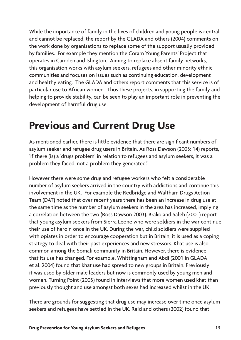While the importance of family in the lives of children and young people is central and cannot be replaced, the report by the GLADA and others (2004) comments on the work done by organisations to replace some of the support usually provided by families. For example they mention the Coram Young Parents' Project that operates in Camden and Islington. Aiming to replace absent family networks, this organisation works with asylum seekers, refugees and other minority ethnic communities and focuses on issues such as continuing education, development and healthy eating. The GLADA and others report comments that this service is of particular use to African women. Thus these projects, in supporting the family and helping to provide stability, can be seen to play an important role in preventing the development of harmful drug use.

#### **Previous and Current Drug Use**

As mentioned earlier, there is little evidence that there are significant numbers of asylum seeker and refugee drug users in Britain. As Ross Dawson (2003: 14) reports, 'if there (is) a 'drugs problem' in relation to refugees and asylum seekers, it was a problem they faced, not a problem they generated.'

However there were some drug and refugee workers who felt a considerable number of asylum seekers arrived in the country with addictions and continue this involvement in the UK. For example the Redbridge and Waltham Drugs Action Team (DAT) noted that over recent years there has been an increase in drug use at the same time as the number of asylum seekers in the area has increased, implying a correlation between the two (Ross Dawson 2003). Brako and Saleh (2001) report that young asylum seekers from Sierra Leone who were soldiers in the war continue their use of heroin once in the UK. During the war, child soldiers were supplied with opiates in order to encourage cooperation but in Britain, it is used as a coping strategy to deal with their past experiences and new stressors. Khat use is also common among the Somali community in Britain. However, there is evidence that its use has changed. For example, Whittingham and Abdi (2001 in GLADA et al. 2004) found that khat use had spread to new groups in Britain. Previously it was used by older male leaders but now is commonly used by young men and women. Turning Point (2005) found in interviews that more women used khat than previously thought and use amongst both sexes had increased whilst in the UK.

There are grounds for suggesting that drug use may increase over time once asylum seekers and refugees have settled in the UK. Reid and others (2002) found that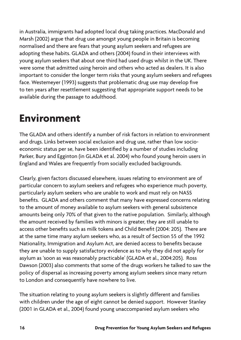in Australia, immigrants had adopted local drug taking practices. MacDonald and Marsh (2002) argue that drug use amongst young people in Britain is becoming normalised and there are fears that young asylum seekers and refugees are adopting these habits. GLADA and others (2004) found in their interviews with young asylum seekers that about one third had used drugs whilst in the UK. There were some that admitted using heroin and others who acted as dealers. It is also important to consider the longer term risks that young asylum seekers and refugees face. Westemeyer (1993) suggests that problematic drug use may develop five to ten years after resettlement suggesting that appropriate support needs to be available during the passage to adulthood.

#### **Environment**

The GLADA and others identify a number of risk factors in relation to environment and drugs. Links between social exclusion and drug use, rather than low socioeconomic status per se, have been identified by a number of studies including Parker, Bury and Egginton (in GLADA et al. 2004) who found young heroin users in England and Wales are frequently from socially excluded backgrounds.

Clearly, given factors discussed elsewhere, issues relating to environment are of particular concern to asylum seekers and refugees who experience much poverty, particularly asylum seekers who are unable to work and must rely on NASS benefits. GLADA and others comment that many have expressed concerns relating to the amount of money available to asylum seekers with general subsistence amounts being only 70% of that given to the native population. Similarly, although the amount received by families with minors is greater, they are still unable to access other benefits such as milk tokens and Child Benefit (2004: 205). There are at the same time many asylum seekers who, as a result of Section 55 of the 1992 Nationality, Immigration and Asylum Act, are denied access to benefits because they are unable to supply satisfactory evidence as to why they did not apply for asylum as 'soon as was reasonably practicable' (GLADA et al., 2004:205). Ross Dawson (2003) also comments that some of the drugs workers he talked to saw the policy of dispersal as increasing poverty among asylum seekers since many return to London and consequently have nowhere to live.

The situation relating to young asylum seekers is slightly different and families with children under the age of eight cannot be denied support. However Stanley (2001 in GLADA et al., 2004) found young unaccompanied asylum seekers who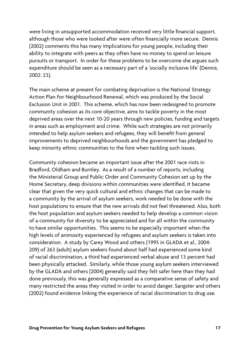were living in unsupported accommodation received very little financial support, although those who were looked after were often financially more secure. Dennis (2002) comments this has many implications for young people, including their ability to integrate with peers as they often have no money to spend on leisure pursuits or transport. In order for these problems to be overcome she argues such expenditure should be seen as a necessary part of a 'socially inclusive life' (Dennis, 2002: 23).

The main scheme at present for combating deprivation is the National Strategy Action Plan For Neighbourhood Renewal, which was produced by the Social Exclusion Unit in 2001. This scheme, which has now been redesigned to promote community cohesion as its core objective, aims to tackle poverty in the most deprived areas over the next 10-20 years through new policies, funding and targets in areas such as employment and crime. While such strategies are not primarily intended to help asylum seekers and refugees, they will benefit from general improvements to deprived neighbourhoods and the government has pledged to keep minority ethnic communities to the fore when tackling such issues.

Community cohesion became an important issue after the 2001 race riots in Bradford, Oldham and Burnley. As a result of a number of reports, including the Ministerial Group and Public Order and Community Cohesion set up by the Home Secretary, deep divisions within communities were identified. It became clear that given the very quick cultural and ethnic changes that can be made to a community by the arrival of asylum seekers, work needed to be done with the host populations to ensure that the new arrivals did not feel threatened. Also, both the host population and asylum seekers needed to help develop a common vision of a community for diversity to be appreciated and for all within the community to have similar opportunities. This seems to be especially important when the high levels of animosity experienced by refugees and asylum seekers is taken into consideration. A study by Carey Wood and others (1995 in GLADA et al., 2004: 209) of 263 (adult) asylum seekers found about half had experienced some kind of racial discrimination, a third had experienced verbal abuse and 13 percent had been physically attacked. Similarly, while those young asylum seekers interviewed by the GLADA and others (2004) generally said they felt safer here than they had done previously, this was generally expressed as a comparative sense of safety and many restricted the areas they visited in order to avoid danger. Sangster and others (2002) found evidence linking the experience of racial discrimination to drug use.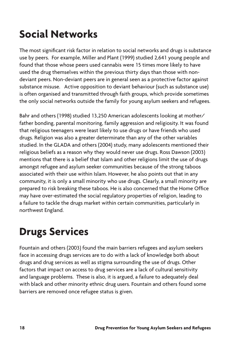## **Social Networks**

The most significant risk factor in relation to social networks and drugs is substance use by peers. For example, Miller and Plant (1999) studied 2,641 young people and found that those whose peers used cannabis were 15 times more likely to have used the drug themselves within the previous thirty days than those with nondeviant peers. Non-deviant peers are in general seen as a protective factor against substance misuse. Active opposition to deviant behaviour (such as substance use) is often organised and transmitted through faith groups, which provide sometimes the only social networks outside the family for young asylum seekers and refugees.

Bahr and others (1998) studied 13,250 American adolescents looking at mother/ father bonding, parental monitoring, family aggression and religiosity. It was found that religious teenagers were least likely to use drugs or have friends who used drugs. Religion was also a greater determinate than any of the other variables studied. In the GLADA and others (2004) study, many adolescents mentioned their religious beliefs as a reason why they would never use drugs. Ross Dawson (2003) mentions that there is a belief that Islam and other religions limit the use of drugs amongst refugee and asylum seeker communities because of the strong taboos associated with their use within Islam. However, he also points out that in any community, it is only a small minority who use drugs. Clearly, a small minority are prepared to risk breaking these taboos. He is also concerned that the Home Office may have over-estimated the social regulatory properties of religion, leading to a failure to tackle the drugs market within certain communities, particularly in northwest England.

## **Drugs Services**

Fountain and others (2003) found the main barriers refugees and asylum seekers face in accessing drugs services are to do with a lack of knowledge both about drugs and drug services as well as stigma surrounding the use of drugs. Other factors that impact on access to drug services are a lack of cultural sensitivity and language problems. These is also, it is argued, a failure to adequately deal with black and other minority ethnic drug users. Fountain and others found some barriers are removed once refugee status is given.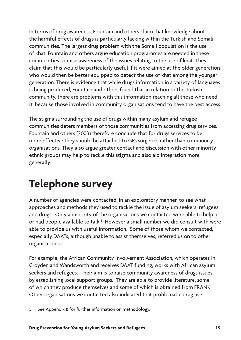In terms of drug awareness, Fountain and others claim that knowledge about the harmful effects of drugs is particularly lacking within the Turkish and Somali communities. The largest drug problem with the Somali population is the use of khat. Fountain and others argue education programmes are needed in these communities to raise awareness of the issues relating to the use of khat. They claim that this would be particularly useful if it were aimed at the older generation who would then be better equipped to detect the use of khat among the younger generation. There is evidence that while drugs information in a variety of languages is being produced, Fountain and others found that in relation to the Turkish community, there are problems with this information reaching all those who need it, because those involved in community organisations tend to have the best access.

The stigma surrounding the use of drugs within many asylum and refugee communities deters members of those communities from accessing drug services. Fountain and others (2003) therefore conclude that for drugs services to be more effective they should be attached to GPs surgeries rather than community organisations. They also argue greater contact and discussion with other minority ethnic groups may help to tackle this stigma and also aid integration more generally.

## **Telephone survey**

A number of agencies were contacted, in an exploratory manner, to see what approaches and methods they used to tackle the issue of asylum seekers, refugees and drugs. Only a minority of the organisations we contacted were able to help us or had people available to talk.<sup>5</sup> However a small number we did consult with were able to provide us with useful information. Some of those whom we contacted, especially DAATs, although unable to assist themselves, referred us on to other organisations.

For example, the African Community Involvement Association, which operates in Croyden and Wandsworth and receives DAAT funding, works with African asylum seekers and refugees. Their aim is to raise community awareness of drugs issues by establishing local support groups. They are able to provide literature, some of which they produce themselves and some of which is obtained from FRANK. Other organisations we contacted also indicated that problematic drug use

See Appendix B for further information on methodology. 5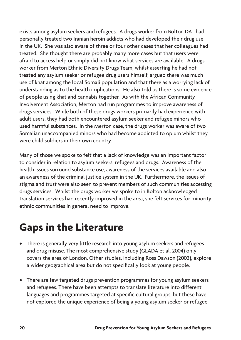exists among asylum seekers and refugees. A drugs worker from Bolton DAT had personally treated two Iranian heroin addicts who had developed their drug use in the UK. She was also aware of three or four other cases that her colleagues had treated. She thought there are probably many more cases but that users were afraid to access help or simply did not know what services are available. A drugs worker from Merton Ethnic Diversity Drugs Team, whilst asserting he had not treated any asylum seeker or refugee drug users himself, argued there was much use of khat among the local Somali population and that there as a worrying lack of understanding as to the health implications. He also told us there is some evidence of people using khat and cannabis together. As with the African Community Involvement Association, Merton had run programmes to improve awareness of drugs services. While both of these drugs workers primarily had experience with adult users, they had both encountered asylum seeker and refugee minors who used harmful substances. In the Merton case, the drugs worker was aware of two Somalian unaccompanied minors who had become addicted to opium whilst they were child soldiers in their own country.

Many of those we spoke to felt that a lack of knowledge was an important factor to consider in relation to asylum seekers, refugees and drugs. Awareness of the health issues surround substance use, awareness of the services available and also an awareness of the criminal justice system in the UK. Furthermore, the issues of stigma and trust were also seen to prevent members of such communities accessing drugs services. Whilst the drugs worker we spoke to in Bolton acknowledged translation services had recently improved in the area, she felt services for minority ethnic communities in general need to improve.

### **Gaps in the Literature**

- There is generally very little research into young asylum seekers and refugees and drug misuse. The most comprehensive study (GLADA et al. 2004) only covers the area of London. Other studies, including Ross Dawson (2003), explore a wider geographical area but do not specifically look at young people.
- There are few targeted drugs prevention programmes for young asylum seekers and refugees. There have been attempts to translate literature into different languages and programmes targeted at specific cultural groups, but these have not explored the unique experience of being a young asylum seeker or refugee.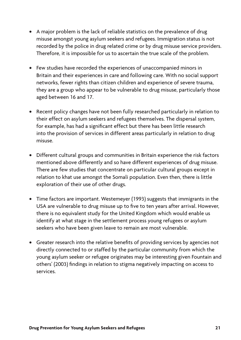- A major problem is the lack of reliable statistics on the prevalence of drug misuse amongst young asylum seekers and refugees. Immigration status is not recorded by the police in drug related crime or by drug misuse service providers. Therefore, it is impossible for us to ascertain the true scale of the problem.
- Few studies have recorded the experiences of unaccompanied minors in Britain and their experiences in care and following care. With no social support networks, fewer rights than citizen children and experience of severe trauma, they are a group who appear to be vulnerable to drug misuse, particularly those aged between 16 and 17.
- Recent policy changes have not been fully researched particularly in relation to their effect on asylum seekers and refugees themselves. The dispersal system, for example, has had a significant effect but there has been little research into the provision of services in different areas particularly in relation to drug misuse.
- Different cultural groups and communities in Britain experience the risk factors mentioned above differently and so have different experiences of drug misuse. There are few studies that concentrate on particular cultural groups except in relation to khat use amongst the Somali population. Even then, there is little exploration of their use of other drugs.
- Time factors are important. Westemeyer (1993) suggests that immigrants in the USA are vulnerable to drug misuse up to five to ten years after arrival. However, there is no equivalent study for the United Kingdom which would enable us identify at what stage in the settlement process young refugees or asylum seekers who have been given leave to remain are most vulnerable.
- Greater research into the relative benefits of providing services by agencies not directly connected to or staffed by the particular community from which the young asylum seeker or refugee originates may be interesting given Fountain and others' (2003) findings in relation to stigma negatively impacting on access to services.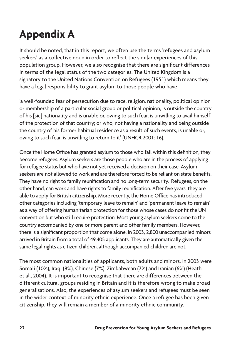## **Appendix A**

It should be noted, that in this report, we often use the terms 'refugees and asylum seekers' as a collective noun in order to reflect the similar experiences of this population group. However, we also recognise that there are significant differences in terms of the legal status of the two categories. The United Kingdom is a signatory to the United Nations Convention on Refugees (1951) which means they have a legal responsibility to grant asylum to those people who have

'a well-founded fear of persecution due to race, religion, nationality, political opinion or membership of a particular social group or political opinion, is outside the country of his [sic] nationality and is unable or, owing to such fear, is unwilling to avail himself of the protection of that country; or who, not having a nationality and being outside the country of his former habitual residence as a result of such events, is unable or, owing to such fear, is unwilling to return to it' (UNHCR 2001: 16).

Once the Home Office has granted asylum to those who fall within this definition, they become refugees. Asylum seekers are those people who are in the process of applying for refugee status but who have not yet received a decision on their case. Asylum seekers are not allowed to work and are therefore forced to be reliant on state benefits. They have no right to family reunification and no long-term security. Refugees, on the other hand, can work and have rights to family reunification. After five years, they are able to apply for British citizenship. More recently, the Home Office has introduced other categories including 'temporary leave to remain' and 'permanent leave to remain' as a way of offering humanitarian protection for those whose cases do not fit the UN convention but who still require protection. Most young asylum seekers come to the country accompanied by one or more parent and other family members. However, there is a significant proportion that come alone. In 2003, 2,800 unaccompanied minors arrived in Britain from a total of 49,405 applicants. They are automatically given the same legal rights as citizen children, although accompanied children are not.

The most common nationalities of applicants, both adults and minors, in 2003 were Somali (10%), Iraqi (8%), Chinese (7%), Zimbabwean (7%) and Iranian (6%) (Heath et al., 2004). It is important to recognise that there are differences between the different cultural groups residing in Britain and it is therefore wrong to make broad generalisations. Also, the experiences of asylum seekers and refugees must be seen in the wider context of minority ethnic experience. Once a refugee has been given citizenship, they will remain a member of a minority ethnic community.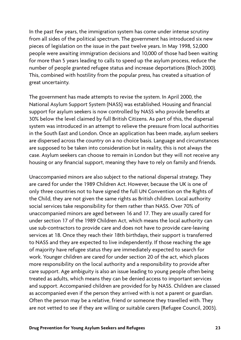In the past few years, the immigration system has come under intense scrutiny from all sides of the political spectrum. The government has introduced six new pieces of legislation on the issue in the past twelve years. In May 1998, 52,000 people were awaiting immigration decisions and 10,000 of those had been waiting for more than 5 years leading to calls to speed up the asylum process, reduce the number of people granted refugee status and increase deportations (Bloch 2000). This, combined with hostility from the popular press, has created a situation of great uncertainty.

The government has made attempts to revise the system. In April 2000, the National Asylum Support System (NASS) was established. Housing and financial support for asylum seekers is now controlled by NASS who provide benefits at 30% below the level claimed by full British Citizens. As part of this, the dispersal system was introduced in an attempt to relieve the pressure from local authorities in the South East and London. Once an application has been made, asylum seekers are dispersed across the country on a no choice basis. Language and circumstances are supposed to be taken into consideration but in reality, this is not always the case. Asylum seekers can choose to remain in London but they will not receive any housing or any financial support, meaning they have to rely on family and friends.

Unaccompanied minors are also subject to the national dispersal strategy. They are cared for under the 1989 Children Act. However, because the UK is one of only three countries not to have signed the full UN Convention on the Rights of the Child, they are not given the same rights as British children. Local authority social services take responsibility for them rather than NASS. Over 70% of unaccompanied minors are aged between 16 and 17. They are usually cared for under section 17 of the 1989 Children Act, which means the local authority can use sub-contractors to provide care and does not have to provide care-leaving services at 18. Once they reach their 18th birthdays, their support is transferred to NASS and they are expected to live independently. If those reaching the age of majority have refugee status they are immediately expected to search for work. Younger children are cared for under section 20 of the act, which places more responsibility on the local authority and a responsibility to provide after care support. Age ambiguity is also an issue leading to young people often being treated as adults, which means they can be denied access to important services and support. Accompanied children are provided for by NASS. Children are classed as accompanied even if the person they arrived with is not a parent or guardian. Often the person may be a relative, friend or someone they travelled with. They are not vetted to see if they are willing or suitable carers (Refugee Council, 2003).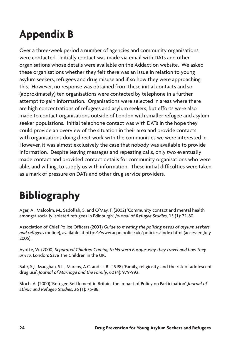## **Appendix B**

Over a three-week period a number of agencies and community organisations were contacted. Initially contact was made via email with DATs and other organisations whose details were available on the Addaction website. We asked these organisations whether they felt there was an issue in relation to young asylum seekers, refugees and drug misuse and if so how they were approaching this. However, no response was obtained from these initial contacts and so (approximately) ten organisations were contacted by telephone in a further attempt to gain information. Organisations were selected in areas where there are high concentrations of refugees and asylum seekers, but efforts were also made to contact organisations outside of London with smaller refugee and asylum seeker populations. Initial telephone contact was with DATs in the hope they could provide an overview of the situation in their area and provide contacts with organisations doing direct work with the communities we were interested in. However, it was almost exclusively the case that nobody was available to provide information. Despite leaving messages and repeating calls, only two eventually made contact and provided contact details for community organisations who were able, and willing, to supply us with information. These initial difficulties were taken as a mark of pressure on DATs and other drug service providers.

## **Bibliography**

Ager, A., Malcolm, M., Sadollah, S. and O'May, F. (2002) 'Community contact and mental health amongst socially isolated refugees in Edinburgh', *Journal of Refugee Studies*, 15 (1): 71-80.

Association of Chief Police Officers (2001) *Guide to meeting the policing needs of asylum seekers and refugees* (online), available at http://www.acpo.police.uk/policies/index.html (accessed July 2005).

Ayotte, W. (2000) *Separated Children Coming to Western Europe: why they travel and how they arrive*. London: Save The Children in the UK.

Bahr, S.J., Maughan, S.L., Marcos, A.C. and Li, B. (1998) 'Family, religiosity, and the risk of adolescent drug use', *Journal of Marriage and the Family*, 60 (4): 979-992.

Bloch, A. (2000) 'Refugee Settlement in Britain: the Impact of Policy on Participation', *Journal of Ethnic and Refugee Studies*, 26 (1): 75-88.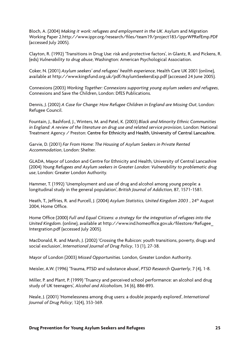Bloch, A. (2004) *Making it work: refugees and employment in the UK*. Asylum and Migration Working Paper 2.http://www.ippr.org/research/files/team19/project183/ipprWPRefEmp.PDF (accessed July 2005).

Clayton, R. (1992) 'Transitions in Drug Use: risk and protective factors', in Glantz, R. and Pickens, R. (eds) *Vulnerability to drug abuse*, Washington: American Psychological Association.

Coker, N. (2001) *Asylum seekers' and refugees' health experience*, Health Care UK 2001 (online), available at http://www.kingsfund.org.uk/pdf/AsylumSeekersExp.pdf (accessed 24 June 2005).

Connexions (2003) *Working Together: Connexions supporting young asylum seekers and refugees*, Connexions and Save the Children, London: DfES Publications.

Dennis, J. (2002) *A Case for Change: How Refugee Children in England are Missing Out*, London: Refugee Council.

Fountain, J., Bashford, J., Winters, M. and Patel, K. (2003) *Black and Minority Ethnic Communities in England: A review of the literature on drug use and related service provision*, London: National Treatment Agency / Preston: Centre for Ethnicity and Health, University of Central Lancashire.

Garvie, D. (2001) *Far From Home: The Housing of Asylum Seekers in Private Rented Accommodation*, London: Shelter.

GLADA, Mayor of London and Centre for Ethnicity and Health, University of Central Lancashire (2004) *Young Refugees and Asylum seekers in Greater London: Vulnerability to problematic drug use*, London: Greater London Authority.

Hammer, T. (1992) 'Unemployment and use of drug and alcohol among young people: a longitudinal study in the general population', *British Journal of Addiction,* 87, 1571-1581.

Heath, T., Jeffries, R. and Purcell, J. (2004) *Asylum Statistics, United Kingdom 2003* , 24th August 2004, Home Office.

Home Office (2000) *Full and Equal Citizens: a strategy for the integration of refugees into the United Kingdom*. (online), available at http://www.ind.homeoffice.gov.uk/filestore/Refugee\_ Intergration.pdf (accessed July 2005).

MacDonald, R. and Marsh, J. (2002) 'Crossing the Rubicon: youth transitions, poverty, drugs and social exclusion', *International Journal of Drug Policy*, 13 (1), 27-38.

Mayor of London (2003) *Missed Opportunities.* London, Greater London Authority.

Meisler, A.W. (1996) 'Trauma, PTSD and substance abuse', *PTSD Research Quarterly*, 7 (4), 1-8.

Miller, P. and Plant, P. (1999) 'Truancy and perceived school performance: an alcohol and drug study of UK teenagers', *Alcohol and Alcoholism,* 34 (6), 886-893.

Neale, J. (2001) 'Homelessness among drug users: a double jeopardy explored', *International Journal of Drug Policy*; 12(4), 353-369.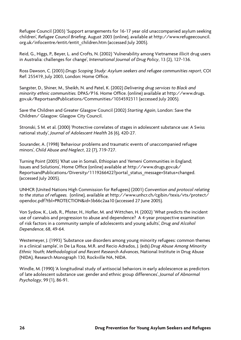Refugee Council (2003) 'Support arrangements for 16-17 year old unaccompanied asylum seeking children', *Refugee Council Briefing*, August 2003 (online), available at http://www.refugeecouncil. org.uk/infocentre/entit/entit\_children.htm (accessed July 2005).

Reid, G., Higgs, P., Beyer, L. and Crofts, N. (2002) 'Vulnerability among Vietnamese illicit drug users in Australia: challenges for change', *International Journal of Drug Policy*, 13 (2), 127-136.

Ross Dawson, C. (2003) *Drugs Scoping Study: Asylum seekers and refugee communities report*, COI Ref: 255419, July 2003, London: Home Office.

Sangster, D., Shiner, M., Sheikh, N. and Patel, K. (2002) *Delivering drug services to Black and minority ethnic communities.* DPAS/P16. Home Office. (online) available at http://www.drugs. gov.uk/ReportsandPublications/Communities/1034592311 (accessed July 2005).

Save the Children and Greater Glasgow Council (2002) *Starting Again*, London: Save the Children/ Glasgow: Glasgow City Council.

Stronski, S M. et al. (2000) 'Protective correlates of stages in adolescent substance use: A Swiss national study', *Journal of Adolescent Health* 26 (6), 420-27.

Sourander, A. (1998) 'Behaviour problems and traumatic events of unaccompanied refugee minors', *Child Abuse and Neglect*, 22 (7), 719-727.

Turning Point (2005) 'Khat use in Somali, Ethiopian and Yemeni Communities in England; Issues and Solutions', Home Office (online) available at http://www.drugs.gov.uk/ ReportsandPublications/Diversity/1119266422?portal\_status\_message=Status+changed. (accessed July 2005).

UNHCR (United Nations High Commission for Refugees) (2001) *Convention and protocol relating to the status of refugees.* (online), available at http://www.unhcr.ch/cgibin/texis/vtx/protect/ opendoc.pdf?tbl=PROTECTION&id=3b66c2aa10 (accessed 27 June 2005).

Von Sydow, K., Lieb, R., Pfister, H., Hofler, M. and Wittchen, H. (2002) 'What predicts the incident use of cannabis and progression to abuse and dependence? A 4-year prospective examination of risk factors in a community sample of adolescents and young adults', *Drug and Alcohol Dependence*, 68, 49-64.

Westemeyer, J. (1993) 'Substance use disorders among young minority refugees: common themes in a clinical sample', in De La Rosa, M.R. and Recio Adrados, J. (eds) *Drug Abuse Among Minority Ethnic Youth; Methodological and Recent Research Advances*, National Institute in Drug Abuse (NIDA), Research Monograph 130, Rockville NA, NIDA.

Windle, M. (1990) 'A longitudinal study of antisocial behaviors in early adolescence as predictors of late adolescent substance use: gender and ethnic group differences', *Journal of Abnormal Psychology*, 99 (1), 86-91.